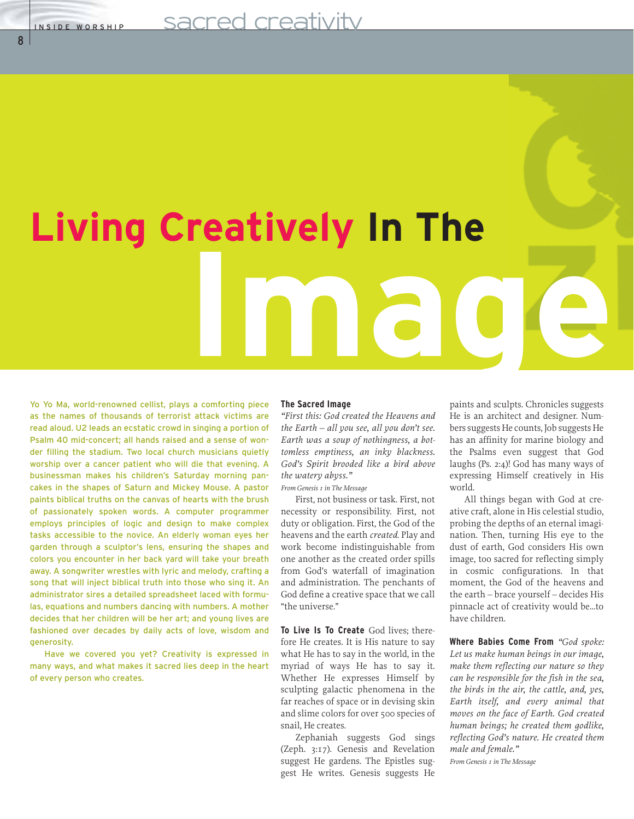8

# **Living Creatively In The Image**

Yo Yo Ma, world-renowned cellist, plays a comforting piece as the names of thousands of terrorist attack victims are read aloud. U2 leads an ecstatic crowd in singing a portion of Psalm 40 mid-concert; all hands raised and a sense of wonder filling the stadium. Two local church musicians quietly worship over a cancer patient who will die that evening. A businessman makes his children's Saturday morning pancakes in the shapes of Saturn and Mickey Mouse. A pastor paints biblical truths on the canvas of hearts with the brush of passionately spoken words. A computer programmer employs principles of logic and design to make complex tasks accessible to the novice. An elderly woman eyes her garden through a sculptor's lens, ensuring the shapes and colors you encounter in her back yard will take your breath away. A songwriter wrestles with lyric and melody, crafting a song that will inject biblical truth into those who sing it. An administrator sires a detailed spreadsheet laced with formulas, equations and numbers dancing with numbers. A mother decides that her children will be her art; and young lives are fashioned over decades by daily acts of love, wisdom and generosity.

Have we covered you yet? Creativity is expressed in many ways, and what makes it sacred lies deep in the heart of every person who creates.

#### **The Sacred Image**

*"First this: God created the Heavens and the Earth – all you see, all you don't see. Earth was a soup of nothingness, a bottomless emptiness, an inky blackness. God's Spirit brooded like a bird above the watery abyss."*

*From Genesis 1 in The Message*

First, not business or task. First, not necessity or responsibility. First, not duty or obligation. First, the God of the heavens and the earth *created*. Play and work become indistinguishable from one another as the created order spills from God's waterfall of imagination and administration. The penchants of God define a creative space that we call "the universe."

**To Live Is To Create** God lives; therefore He creates. It is His nature to say what He has to say in the world, in the myriad of ways He has to say it. Whether He expresses Himself by sculpting galactic phenomena in the far reaches of space or in devising skin and slime colors for over 500 species of snail, He creates.

Zephaniah suggests God sings (Zeph. 3:17). Genesis and Revelation suggest He gardens. The Epistles suggest He writes. Genesis suggests He

paints and sculpts. Chronicles suggests He is an architect and designer. Numbers suggests He counts, Job suggests He has an affinity for marine biology and the Psalms even suggest that God laughs (Ps. 2:4)! God has many ways of expressing Himself creatively in His world.

All things began with God at creative craft, alone in His celestial studio, probing the depths of an eternal imagination. Then, turning His eye to the dust of earth, God considers His own image, too sacred for reflecting simply in cosmic configurations. In that moment, the God of the heavens and the earth – brace yourself – decides His pinnacle act of creativity would be…to have children.

**Where Babies Come From** *"God spoke: Let us make human beings in our image, make them reflecting our nature so they can be responsible for the fish in the sea, the birds in the air, the cattle, and, yes, Earth itself, and every animal that moves on the face of Earth. God created human beings; he created them godlike, reflecting God's nature. He created them male and female."*

*From Genesis 1 in The Message*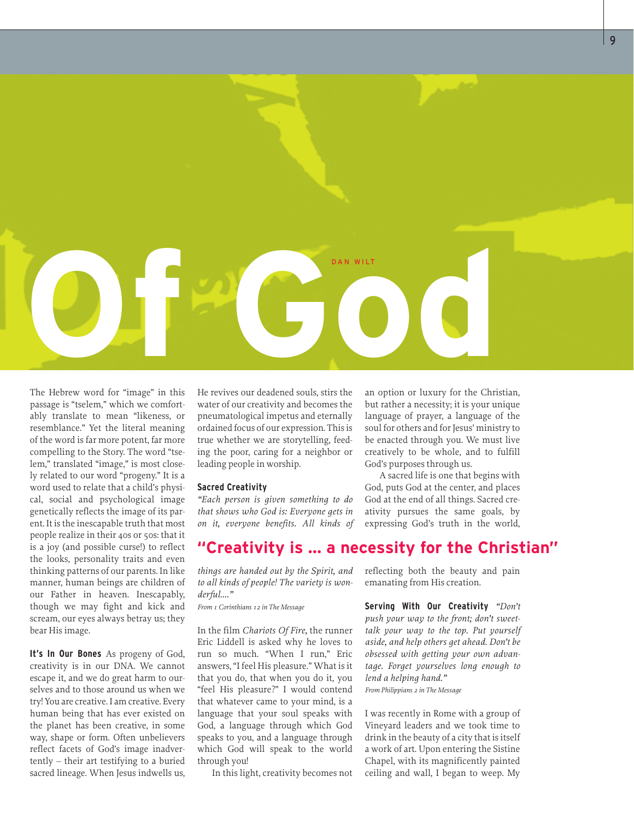

The Hebrew word for "image" in this passage is "tselem," which we comfortably translate to mean "likeness, or resemblance." Yet the literal meaning of the word is far more potent, far more compelling to the Story. The word "tselem," translated "image," is most closely related to our word "progeny." It is a word used to relate that a child's physical, social and psychological image genetically reflects the image of its parent. It is the inescapable truth that most people realize in their 40s or 50s: that it is a joy (and possible curse!) to reflect the looks, personality traits and even thinking patterns of our parents. In like manner, human beings are children of our Father in heaven. Inescapably, though we may fight and kick and scream, our eyes always betray us; they bear His image.

**It's In Our Bones** As progeny of God, creativity is in our DNA. We cannot escape it, and we do great harm to ourselves and to those around us when we try! You are creative. I am creative. Every human being that has ever existed on the planet has been creative, in some way, shape or form. Often unbelievers reflect facets of God's image inadvertently – their art testifying to a buried sacred lineage. When Jesus indwells us, He revives our deadened souls, stirs the water of our creativity and becomes the pneumatological impetus and eternally ordained focus of our expression. This is true whether we are storytelling, feeding the poor, caring for a neighbor or leading people in worship.

#### **Sacred Creativity**

*"Each person is given something to do that shows who God is: Everyone gets in on it, everyone benefits. All kinds of*

an option or luxury for the Christian, but rather a necessity; it is your unique language of prayer, a language of the soul for others and for Jesus' ministry to be enacted through you. We must live creatively to be whole, and to fulfill God's purposes through us.

A sacred life is one that begins with God, puts God at the center, and places God at the end of all things. Sacred creativity pursues the same goals, by expressing God's truth in the world,

# **"Creativity is … a necessity for the Christian"**

*things are handed out by the Spirit, and to all kinds of people! The variety is wonderful…."*

*From 1 Corinthians 12 in The Message*

In the film *Chariots Of Fire,* the runner Eric Liddell is asked why he loves to run so much. "When I run," Eric answers, "I feel His pleasure." What is it that you do, that when you do it, you "feel His pleasure?" I would contend that whatever came to your mind, is a language that your soul speaks with God, a language through which God speaks to you, and a language through which God will speak to the world through you!

In this light, creativity becomes not

reflecting both the beauty and pain emanating from His creation.

**Serving With Our Creativity** *"Don't push your way to the front; don't sweettalk your way to the top. Put yourself aside, and help others get ahead. Don't be obsessed with getting your own advantage. Forget yourselves long enough to lend a helping hand." From Philippians 2 in The Message*

I was recently in Rome with a group of Vineyard leaders and we took time to drink in the beauty of a city that is itself a work of art. Upon entering the Sistine Chapel, with its magnificently painted ceiling and wall, I began to weep. My